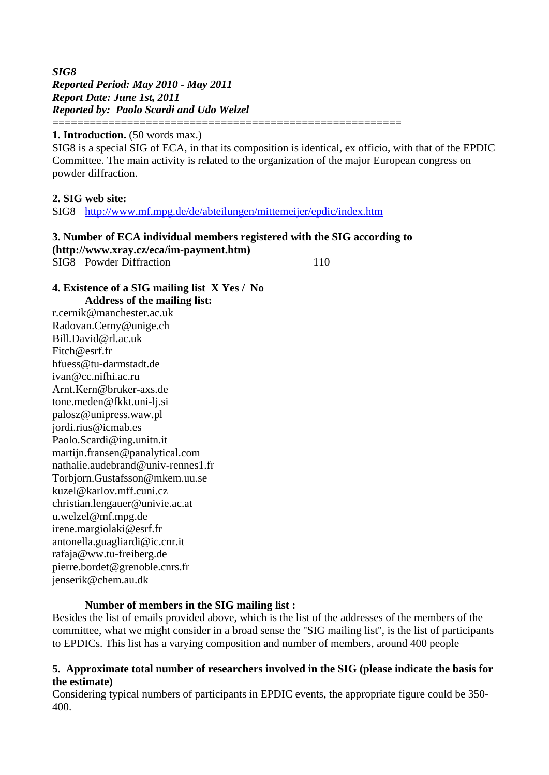*SIG8 Reported Period: May 2010 - May 2011 Report Date: June 1st, 2011 Reported by: Paolo Scardi and Udo Welzel* ========================================================

#### **1. Introduction.** (50 words max.)

SIG8 is a special SIG of ECA, in that its composition is identical, ex officio, with that of the EPDIC Committee. The main activity is related to the organization of the major European congress on powder diffraction.

#### **2. SIG web site:**

SIG8 http://www.mf.mpg.de/de/abteilungen/mittemeijer/epdic/index.htm

### **3. Number of ECA individual members registered with the SIG according to (http://www.xray.cz/eca/im-payment.htm)**

SIG8 Powder Diffraction 110

#### **4. Existence of a SIG mailing list X Yes / No Address of the mailing list:**

r.cernik@manchester.ac.uk Radovan.Cerny@unige.ch Bill.David@rl.ac.uk Fitch@esrf.fr hfuess@tu-darmstadt.de ivan@cc.nifhi.ac.ru Arnt.Kern@bruker-axs.de tone.meden@fkkt.uni-lj.si palosz@unipress.waw.pl jordi.rius@icmab.es Paolo.Scardi@ing.unitn.it martijn.fransen@panalytical.com nathalie.audebrand@univ-rennes1.fr Torbjorn.Gustafsson@mkem.uu.se kuzel@karlov.mff.cuni.cz christian.lengauer@univie.ac.at u.welzel@mf.mpg.de irene.margiolaki@esrf.fr antonella.guagliardi@ic.cnr.it rafaja@ww.tu-freiberg.de pierre.bordet@grenoble.cnrs.fr jenserik@chem.au.dk

### **Number of members in the SIG mailing list :**

Besides the list of emails provided above, which is the list of the addresses of the members of the committee, what we might consider in a broad sense the ''SIG mailing list'', is the list of participants to EPDICs. This list has a varying composition and number of members, around 400 people

#### **5. Approximate total number of researchers involved in the SIG (please indicate the basis for the estimate)**

Considering typical numbers of participants in EPDIC events, the appropriate figure could be 350- 400.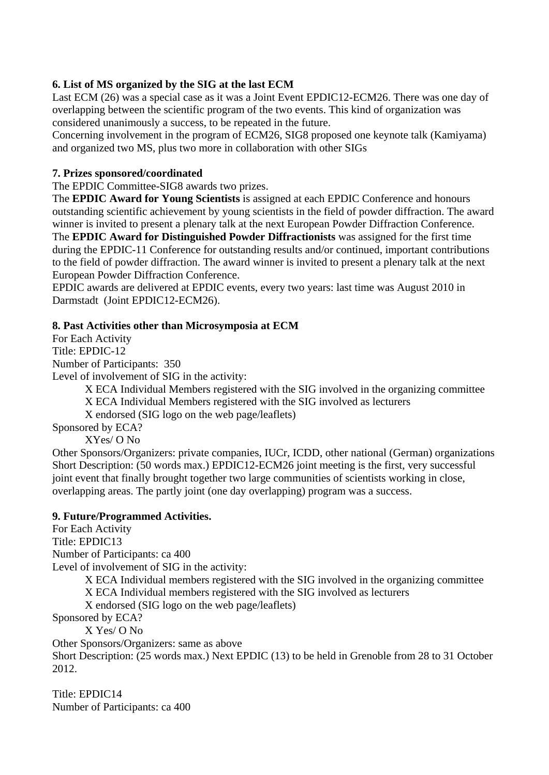# **6. List of MS organized by the SIG at the last ECM**

Last ECM (26) was a special case as it was a Joint Event EPDIC12-ECM26. There was one day of overlapping between the scientific program of the two events. This kind of organization was considered unanimously a success, to be repeated in the future.

Concerning involvement in the program of ECM26, SIG8 proposed one keynote talk (Kamiyama) and organized two MS, plus two more in collaboration with other SIGs

## **7. Prizes sponsored/coordinated**

The EPDIC Committee-SIG8 awards two prizes.

The **EPDIC Award for Young Scientists** is assigned at each EPDIC Conference and honours outstanding scientific achievement by young scientists in the field of powder diffraction. The award winner is invited to present a plenary talk at the next European Powder Diffraction Conference. The **EPDIC Award for Distinguished Powder Diffractionists** was assigned for the first time during the EPDIC-11 Conference for outstanding results and/or continued, important contributions to the field of powder diffraction. The award winner is invited to present a plenary talk at the next European Powder Diffraction Conference.

EPDIC awards are delivered at EPDIC events, every two years: last time was August 2010 in Darmstadt (Joint EPDIC12-ECM26).

### **8. Past Activities other than Microsymposia at ECM**

For Each Activity Title: EPDIC-12 Number of Participants: 350

Level of involvement of SIG in the activity:

X ECA Individual Members registered with the SIG involved in the organizing committee

X ECA Individual Members registered with the SIG involved as lecturers

X endorsed (SIG logo on the web page/leaflets)

Sponsored by ECA?

XYes/ O No

Other Sponsors/Organizers: private companies, IUCr, ICDD, other national (German) organizations Short Description: (50 words max.) EPDIC12-ECM26 joint meeting is the first, very successful joint event that finally brought together two large communities of scientists working in close, overlapping areas. The partly joint (one day overlapping) program was a success.

## **9. Future/Programmed Activities.**

For Each Activity Title: EPDIC13 Number of Participants: ca 400 Level of involvement of SIG in the activity: X ECA Individual members registered with the SIG involved in the organizing committee X ECA Individual members registered with the SIG involved as lecturers X endorsed (SIG logo on the web page/leaflets)

Sponsored by ECA?

X Yes/ O No

Other Sponsors/Organizers: same as above

Short Description: (25 words max.) Next EPDIC (13) to be held in Grenoble from 28 to 31 October 2012.

Title: EPDIC14 Number of Participants: ca 400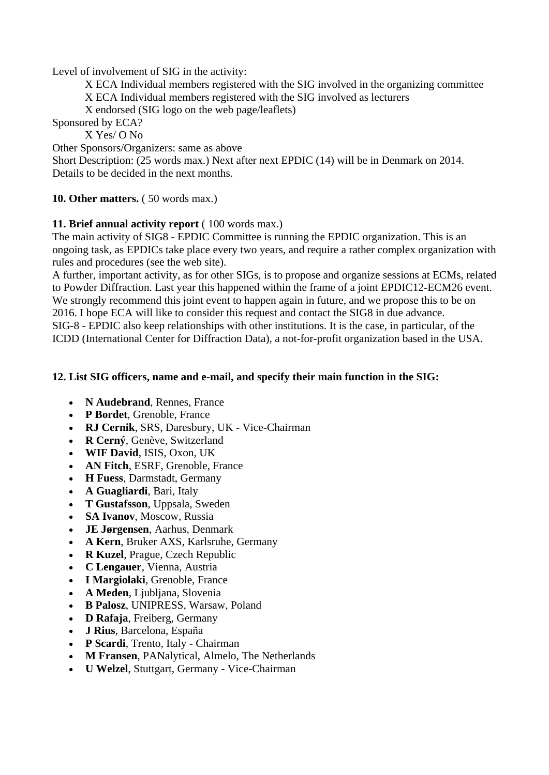Level of involvement of SIG in the activity:

X ECA Individual members registered with the SIG involved in the organizing committee

X ECA Individual members registered with the SIG involved as lecturers

X endorsed (SIG logo on the web page/leaflets)

Sponsored by ECA?

X Yes/ O No

Other Sponsors/Organizers: same as above

Short Description: (25 words max.) Next after next EPDIC (14) will be in Denmark on 2014. Details to be decided in the next months.

**10. Other matters.**  $(50 \text{ words max.})$ 

## **11. Brief annual activity report** ( 100 words max.)

The main activity of SIG8 - EPDIC Committee is running the EPDIC organization. This is an ongoing task, as EPDICs take place every two years, and require a rather complex organization with rules and procedures (see the web site).

A further, important activity, as for other SIGs, is to propose and organize sessions at ECMs, related to Powder Diffraction. Last year this happened within the frame of a joint EPDIC12-ECM26 event. We strongly recommend this joint event to happen again in future, and we propose this to be on 2016. I hope ECA will like to consider this request and contact the SIG8 in due advance. SIG-8 - EPDIC also keep relationships with other institutions. It is the case, in particular, of the ICDD (International Center for Diffraction Data), a not-for-profit organization based in the USA.

# **12. List SIG officers, name and e-mail, and specify their main function in the SIG:**

- **N Audebrand**, Rennes, France
- **P Bordet**, Grenoble, France
- **RJ Cernik**, SRS, Daresbury, UK Vice-Chairman
- **R Cerný**, Genève, Switzerland
- **WIF David**, ISIS, Oxon, UK
- **AN Fitch**, ESRF, Grenoble, France
- **H Fuess**, Darmstadt, Germany
- **A Guagliardi**, Bari, Italy
- **T Gustafsson**, Uppsala, Sweden
- **SA Ivanov**, Moscow, Russia
- **JE Jørgensen**, Aarhus, Denmark
- **A Kern**, Bruker AXS, Karlsruhe, Germany
- **R Kuzel**, Prague, Czech Republic
- **C Lengauer**, Vienna, Austria
- **I Margiolaki**, Grenoble, France
- **A Meden**, Ljubljana, Slovenia
- **B Palosz**, UNIPRESS, Warsaw, Poland
- **D Rafaja**, Freiberg, Germany
- **J Rius**, Barcelona, España
- **P Scardi**, Trento, Italy Chairman
- **M Fransen**, PANalytical, Almelo, The Netherlands
- **U Welzel**, Stuttgart, Germany Vice-Chairman